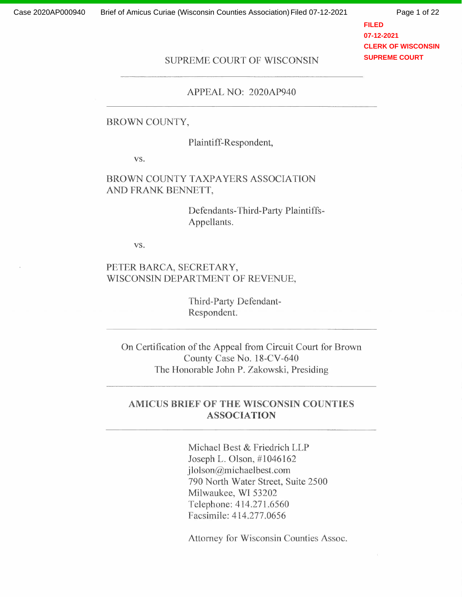Page 1 of 22

**FILED 07-12-2021 CLERK OF WISCONSIN SUPREME COURT**

# SUPREME COURT OF WISCONSIN

#### APPEAL NO: 2020AP940

#### BROWN COUNTY,

Plaintiff-Respondent,

vs.

### BROWN COUNTY TAXPAYERS ASSOCIATION AND FRANK BENNETT,

Defendants-Third-Party Plaintiffs-Appellants.

vs.

#### PETER BARCA, SECRETARY, WISCONSIN DEPARTMENT OF REVENUE,

Third-Party Defendant-Respondent.

On Certification of the Appeal from Circuit Court for Brown County Case No. 18-CV-640 The Honorable John P. Zakowski, Presiding

### **AMICUS BRIEF OF THE WISCONSIN COUNTIES ASSOCIATION**

Michael Best & Friedrich LLP Joseph L. Olson, #1046162 jlolson@michaelbest.com 790 North Water Street, Suite 2500 Milwaukee, WI 53202 Telephone: 414.271.6560 Facsimile: 414.277 .0656

Attorney for Wisconsin Counties Assoc.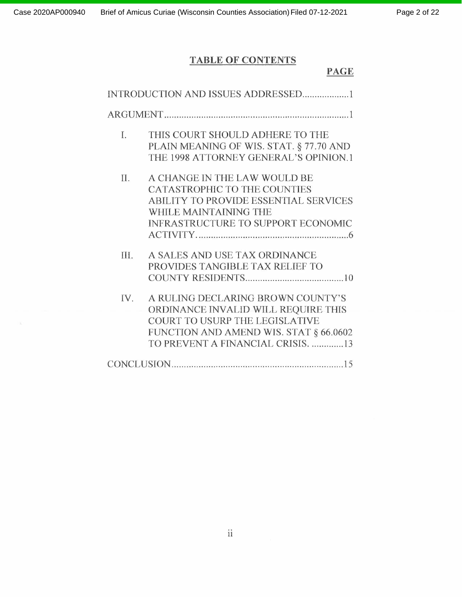# **TABLE OF CONTENTS**

|      | INTRODUCTION AND ISSUES ADDRESSED1                                                                                                                                                        |
|------|-------------------------------------------------------------------------------------------------------------------------------------------------------------------------------------------|
|      |                                                                                                                                                                                           |
| L    | THIS COURT SHOULD ADHERE TO THE<br>PLAIN MEANING OF WIS. STAT. § 77.70 AND<br>THE 1998 ATTORNEY GENERAL'S OPINION.1                                                                       |
| Π.   | A CHANGE IN THE LAW WOULD BE<br>CATASTROPHIC TO THE COUNTIES<br><b>ABILITY TO PROVIDE ESSENTIAL SERVICES</b><br>WHILE MAINTAINING THE<br><b>INFRASTRUCTURE TO SUPPORT ECONOMIC</b>        |
| III. | A SALES AND USE TAX ORDINANCE<br>PROVIDES TANGIBLE TAX RELIEF TO                                                                                                                          |
| IV.  | A RULING DECLARING BROWN COUNTY'S<br>ORDINANCE INVALID WILL REQUIRE THIS<br>COURT TO USURP THE LEGISLATIVE<br>FUNCTION AND AMEND WIS. STAT § 66.0602<br>TO PREVENT A FINANCIAL CRISIS. 13 |
|      |                                                                                                                                                                                           |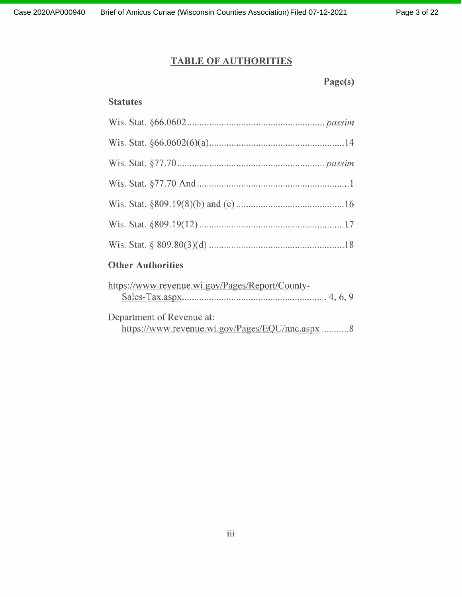# **TABLE OF AUTHORITIES**

**Page(s)**

# **Statutes**

# **Other Authorities**

| https://www.revenue.wi.gov/Pages/Report/County- |  |
|-------------------------------------------------|--|
|                                                 |  |
| Department of Revenue at:                       |  |
| https://www.revenue.wi.gov/Pages/EQU/nnc.aspx 8 |  |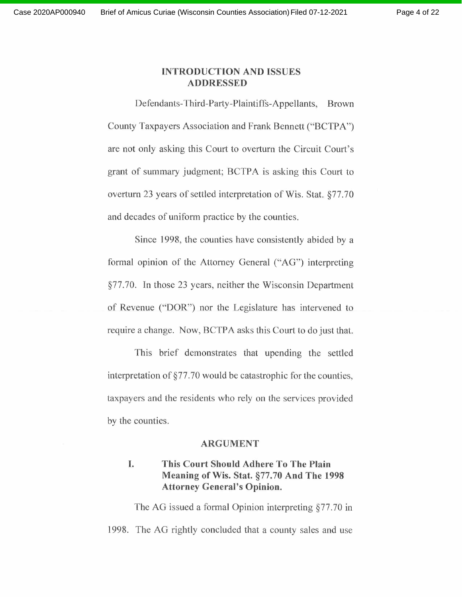#### **INTRODUCTION AND ISSUES ADDRESSED**

Defendants-Third-Party-Plaintiffs-Appellants, Brown County Taxpayers Association and Frank Bennett ("BCTPA") are not only asking this Court to overturn the Circuit Court's grant of summary judgment; BCTPA is asking this Court to overturn 23 years of settled interpretation of Wis. Stat. §77.70 and decades of uniform practice by the counties.

Since 1998, the counties have consistently abided by a formal opinion of the Attorney General ("AG") interpreting §77.70. In those 23 years, neither the Wisconsin Department of Revenue ("DOR") nor the Legislature has intervened to require a change. Now, BCTPA asks this Court to do just that.

This brief demonstrates that upending the settled interpretation of §77. 70 would be catastrophic for the counties, taxpayers and the residents who rely on the services provided by the counties.

#### **ARGUMENT**

# **I. This Court Should Adhere To The Plain Meaning of Wis. Stat. §77.70 And The 1998 Attorney General's Opinion.**

The AG issued a formal Opinion interpreting §77.70 in 1998. The AG rightly concluded that a county sales and use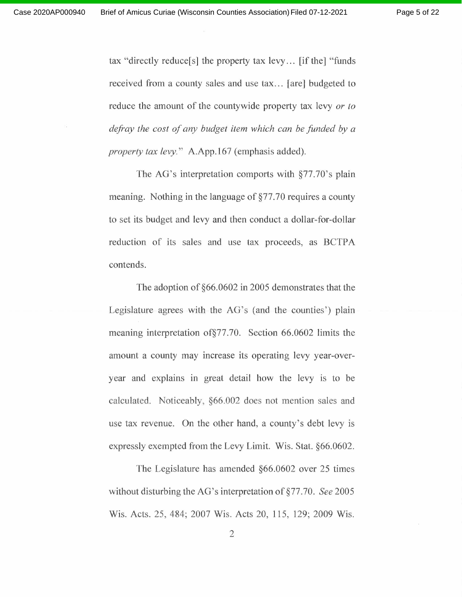tax "directly reduce[s] the property tax levy ... [if the] "funds received from a county sales and use tax... [are] budgeted to reduce the amount of the countywide property tax levy *or to defray the cost of any budget item which can be funded by <sup>a</sup> property tax levy."* A.App.167 (emphasis added).

The AG's interpretation comports with §77.70's plain meaning. Nothing in the language of §77.70 requires a county to set its budget and levy and then conduct a dollar-for-dollar reduction of its sales and use tax proceeds, as BCTPA contends.

The adoption of §66.0602 in 2005 demonstrates that the Legislature agrees with the AG's (and the counties') plain meaning interpretation of§77.70. Section 66.0602 limits the amount a county may increase its operating levy year-overyear and explains in great detail how the levy is to be calculated. Noticeably, §66.002 does not mention sales and use tax revenue. On the other hand, a county's debt levy is expressly exempted from the Levy Limit. Wis. Stat. §66.0602.

The Legislature has amended §66.0602 over 25 times without disturbing the AG's interpretation of §77 .70. *See* 2005 Wis. Acts. 25, 484; 2007 Wis. Acts 20, 115, 129; 2009 Wis.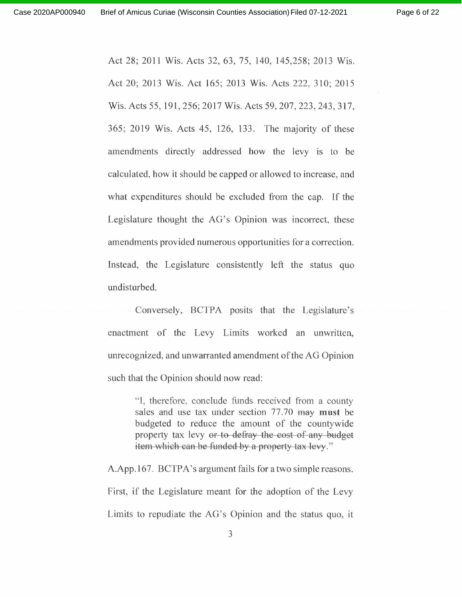Page 6 of 22

Act 28; 2011 Wis. Acts 32, 63, 75, 140, 145,258; 2013 Wis. Act 20; <sup>2013</sup> Wis. Act 165; <sup>2013</sup> Wis. Acts 222,310; <sup>2015</sup> Wis. Acts 55, 191, 256; 2017 Wis. Acts 59, 207, 223, 243, 317, 365; 2019 Wis. Acts 45, 126, 133. The majority of these amendments directly addressed how the levy is to be calculated, how it should be capped or allowed to increase, and what expenditures should be excluded from the cap. If the Legislature thought the AG's Opinion was incorrect, these amendments provided numerous opportunities for <sup>a</sup> correction. Instead, the Legislature consistently left the status quo undisturbed.

Conversely, BCTPA posits that the Legislature's enactment of the Levy Limits worked an unwritten, unrecognized, and unwarranted amendment of the AG Opinion such that the Opinion should now read:

> "I, therefore, conclude funds received from a county sales and use tax under section 77. 70 may **must** be budgeted to reduce the amount of the countywide property tax levy or to defray the cost of any budget item which can be funded by a property tax levy."

A.App.167. BCTPA's argument fails for a two simple reasons. First, if the Legislature meant for the adoption of the Levy Limits to repudiate the AG's Opinion and the status quo, it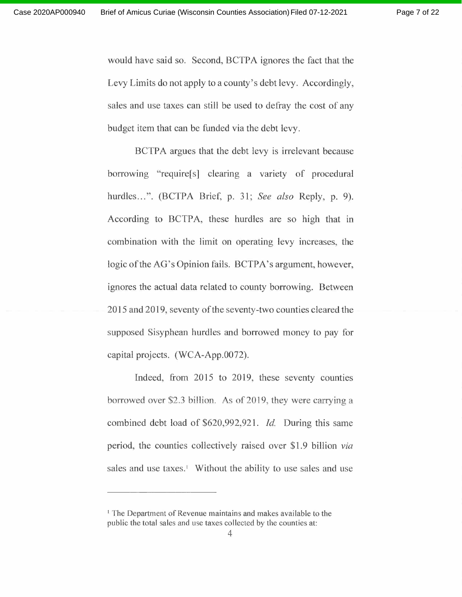would have said so. Second, BCTPA ignores the fact that the Levy Limits do not apply to a county's debt levy. Accordingly, sales and use taxes can still be used to defray the cost of any budget item that can be funded via the debt levy.

BCTPA argues that the debt levy is irrelevant because borrowing "require[s] clearing <sup>a</sup> variety of procedural hurdles ... ". (BCTPA Brief, p. 31; *See also* Reply, p. 9). According to BCTPA, these hurdles are so high that in combination with the limit on operating levy increases, the logic of the AG's Opinion fails. BCTPA's argument, however, ignores the actual data related to county borrowing. Between 2015 and 2019, seventy of the seventy-two counties cleared the supposed Sisyphean hurdles and borrowed money to pay for capital projects. (WCA-App.0072).

Indeed, from 2015 to 2019, these seventy counties borrowed over \$2.3 billion. As of 2019, they were carrying a combined debt load of \$620,992,921. *Id.* During this same period, the counties collectively raised over \$1.9 billion *via* sales and use taxes.' Without the ability to use sales and use

<sup>&</sup>lt;sup>1</sup> The Department of Revenue maintains and makes available to the public the total sales and use taxes collected by the counties at: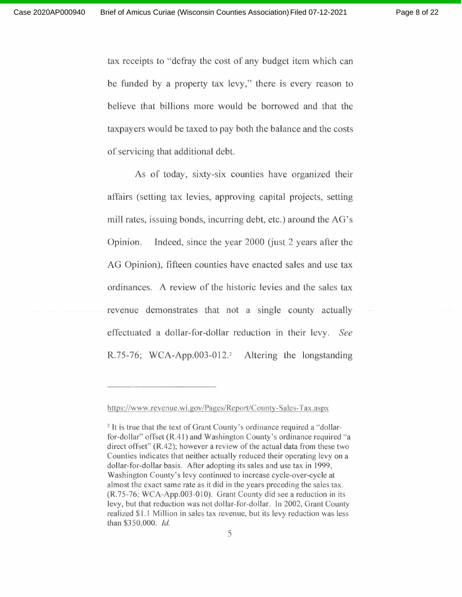tax receipts to "defray the cost of any budget item which can be funded by a property tax levy," there is every reason to believe that billions more would be borrowed and that the taxpayers would be taxed to pay both the balance and the costs of servicing that additional debt.

As of today, sixty-six counties have organized their affairs (setting tax levies, approving capital projects, setting mill rates, issuing bonds, incurring debt, etc.) around the AG's Opinion. Indeed, since the year 2000 (just 2 years after the AG Opinion), fifteen counties have enacted sales and use tax ordinances. A review of the historic levies and the sales tax revenue demonstrates that not <sup>a</sup> single county actually effectuated <sup>a</sup> dollar-for-dollar reduction in their levy. *See* R.75-76; WCA-App.003-012. <sup>2</sup> Altering the longstanding

https://www.revenue. wi. gov/Pages/Report/County-Sales-Tax.aspx

<sup>&</sup>lt;sup>2</sup> It is true that the text of Grant County's ordinance required a "dollarfor-dollar" offset (R.41) and Washington County's ordinance required "a direct offset"  $(R.42)$ ; however a review of the actual data from these two Counties indicates that neither actually reduced their operating levy on a dollar-for-dollar basis. After adopting its sales and use tax in 1999, Washington County's levy continued to increase cycle-over-cycle at almost the exact same rate as it did in the years preceding the sales tax. (R.75-76; WCA-App.003-010). Grant County did see a reduction in its levy, but that reduction was not dollar-for-dollar. In 2002, Grant County realized \$1.1 Million in sales tax revenue, but its levy reduction was less than \$350,000. *Id.*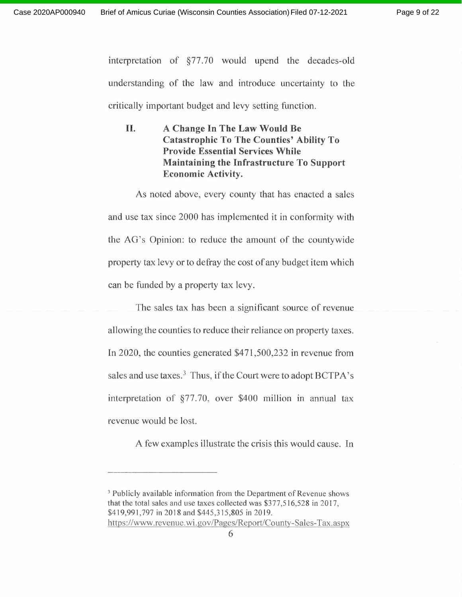interpretation of §77.70 would upend the decades-old understanding of the law and introduce uncertainty to the critically important budget and levy setting function.

**II. A Change In The Law Would Be Catastrophic To The Counties' Ability To Provide Essential Services While Maintaining the Infrastructure To Support Economic Activity.**

As noted above, every county that has enacted a sales and use tax since 2000 has implemented it in conformity with the AG's Opinion: to reduce the amount of the countywide property tax levy or to defray the cost of any budget item which can be funded by a property tax levy.

The sales tax has been a significant source of revenue allowing the counties to reduce their reliance on property taxes. In 2020, the counties generated \$471,500,232 in revenue from sales and use taxes.<sup>3</sup> Thus, if the Court were to adopt BCTPA's interpretation of §77. 70, over \$400 million in annual tax revenue would be lost.

A few examples illustrate the crisis this would cause. In

<sup>&</sup>lt;sup>3</sup> Publicly available information from the Department of Revenue shows that the total sales and use taxes collected was \$377,516,528 in 2017, \$419,991,797 in 2018 and \$445,315,805 in 2019. https://www.revenue.wi.gov/Pages/Report/County-Sales-Tax.aspx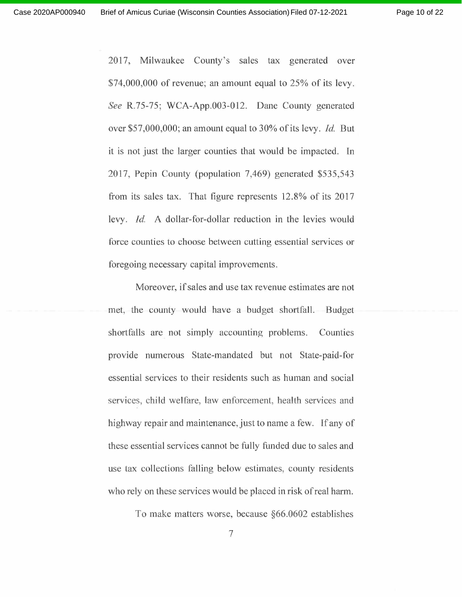2017, Milwaukee County's sales tax generated over \$74,000,000 of revenue; an amount equal to 25% of its levy. *See* R.75-75; WCA-App.003-012. Dane County generated over \$57,000,000; an amount equal to 30% of its levy. *Id.* But it is not just the larger counties that would be impacted. In 2017, Pepin County (population 7,469) generated \$535,543 from its sales tax. That figure represents 12.8% of its 2017 levy. *Id.* A dollar-for-dollar reduction in the levies would force counties to choose between cutting essential services or foregoing necessary capital improvements.

Moreover, if sales and use tax revenue estimates are not met, the county would have a budget shortfall. Budget shortfalls are not simply accounting problems. Counties provide numerous State-mandated but not State-paid-for essential services to their residents such as human and social services, child welfare, law enforcement, health services and highway repair and maintenance, just to name a few. If any of these essential services cannot be fully funded due to sales and use tax collections falling below estimates, county residents who rely on these services would be placed in risk of real harm.

To make matters worse, because §66.0602 establishes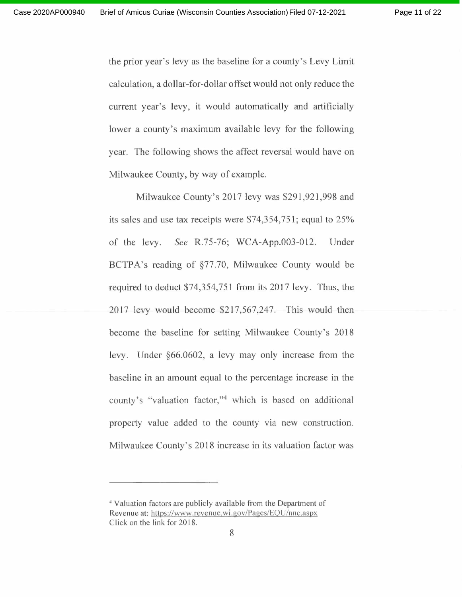the prior year's levy as the baseline for a county's Levy Limit calculation, a dollar-for-dollar offset would not only reduce the current year's levy, it would automatically and artificially lower a county's maximum available levy for the following year. The following shows the affect reversal would have on Milwaukee County, by way of example.

Milwaukee County's 2017 levy was \$291,921,998 and its sales and use tax receipts were \$74,354,751; equal to 25% of the levy. *See* R.75-76; WCA-App.003-012. Under BCTPA's reading of §77.70, Milwaukee County would be required to deduct \$74,354,751 from its 2017 levy. Thus, the 2017 levy would become \$217,567,247. This would then become the baseline for setting Milwaukee County's 2018 levy. Under §66.0602, a levy may only increase from the baseline in an amount equal to the percentage increase in the county's "valuation factor,"<sup>4</sup> which is based on additional property value added to the county via new construction. Milwaukee County's 2018 increase in its valuation factor was

<sup>4</sup> Valuation factors are publicly available from the Department of Revenue at: https://www.revenue.wi.gov/Pages/EQU/nnc.aspx Click on the link for 2018.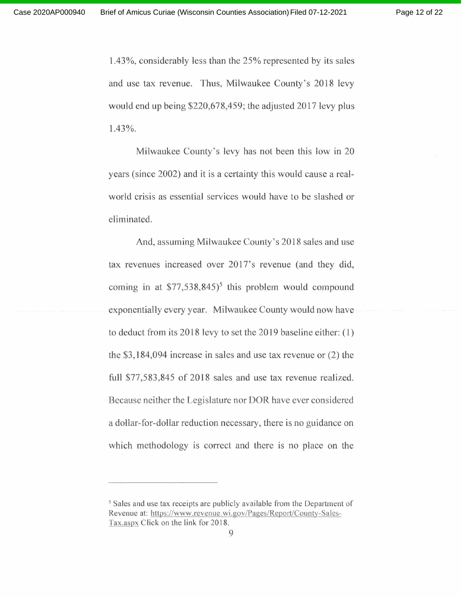1.43%, considerably less than the 25% represented by its sales and use tax revenue. Thus, Milwaukee County's 2018 levy would end up being \$220,678,459; the adjusted 2017 levy plus 1.43%.

Milwaukee County's levy has not been this low in 20 years (since 2002) and it is a certainty this would cause a realworld crisis as essential services would have to be slashed or eliminated.

And, assuming Milwaukee County's 2018 sales and use tax revenues increased over 2017's revenue (and they did, coming in at \$77,538,845) 5 this problem would compound exponentially every year. Milwaukee County would now have to deduct from its 2018 levy to set the 2019 baseline either: ( 1) the \$3,184,094 increase in sales and use tax revenue or (2) the full \$77,583,845 of 2018 sales and use tax revenue realized. Because neither the Legislature nor DOR have ever considered a dollar-for-dollar reduction necessary, there is no guidance on which methodology is correct and there is no place on the

<sup>5</sup> Sales and use tax receipts are publicly available from the Department of Revenue at: https://www.revenue. wi .gov/Pages/Report/County-Sales-Tax.aspx Click on the link for 2018.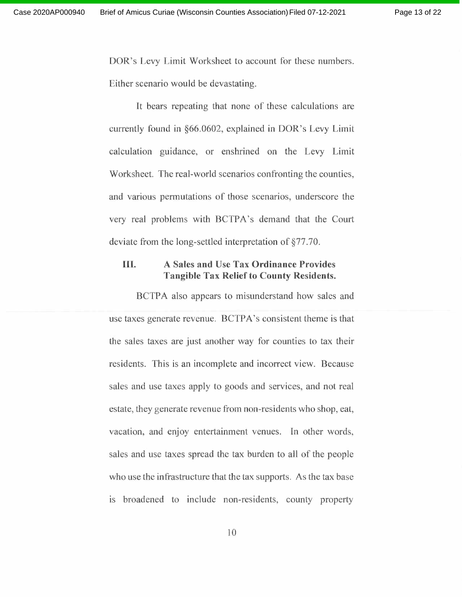DOR's Levy Limit Worksheet to account for these numbers. Either scenario would be devastating.

It bears repeating that none of these calculations are currently found in §66.0602, explained in DOR's Levy Limit calculation guidance, or enshrined on the Levy Limit Worksheet. The real-world scenarios confronting the counties, and various permutations of those scenarios, underscore the very real problems with BCTPA's demand that the Court deviate from the long-settled interpretation of §77.70.

# **III. A Sales and Use Tax Ordinance Provides Tangible Tax Reliefto County Residents.**

BCTPA also appears to misunderstand how sales and use taxes generate revenue. BCTPA's consistent theme is that the sales taxes are just another way for counties to tax their residents. This is an incomplete and incorrect view. Because sales and use taxes apply to goods and services, and not real estate, they generate revenue from non-residents who shop, eat, vacation, and enjoy entertainment venues. In other words, sales and use taxes spread the tax burden to all of the people who use the infrastructure that the tax supports. As the tax base is broadened to include non-residents, county property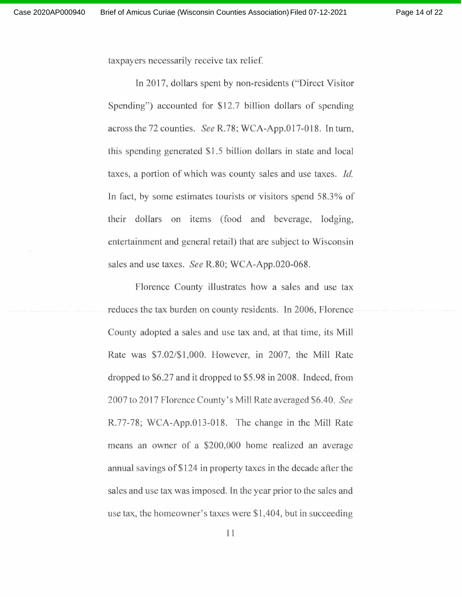taxpayers necessarily receive tax relief.

In 2017, dollars spent by non-residents ("Direct Visitor" Spending") accounted for \$12.7 billion dollars of spending across the 72 counties. *See* R.78; WCA-App.017-018. In tum, this spending generated \$1.5 billion dollars in state and local taxes, a portion of which was county sales and use taxes. *Id.* In fact, by some estimates tourists or visitors spend 58.3% of their dollars on items (food and beverage, lodging, entertainment and general retail) that are subject to Wisconsin sales and use taxes. *See* R.80; WCA-App.020-068.

Florence County illustrates how a sales and use tax reduces the tax burden on county residents. In 2006, Florence County adopted a sales and use tax and, at that time, its Mill Rate was \$7.02/\$1,000. However, in 2007, the Mill Rate dropped to \$6.27 and it dropped to \$5.98 in 2008. Indeed, from 2007 to 2017 Florence County's Mill Rate averaged \$6.40. *See* R.77-78; WCA-App.013-018. The change in the Mill Rate means an owner of a \$200,000 home realized an average annual savings of \$124 in property taxes in the decade after the sales and use tax was imposed. In the year prior to the sales and use tax, the homeowner's taxes were \$1,404, but in succeeding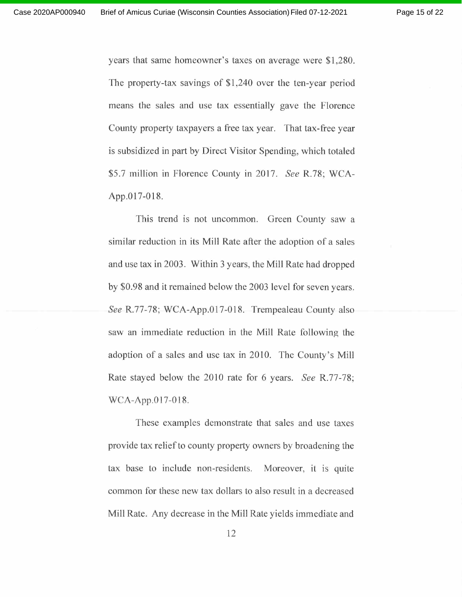years that same homeowner's taxes on average were \$1,280. The property-tax savings of \$1,240 over the ten-year period means the sales and use tax essentially gave the Florence County property taxpayers a free tax year. That tax-free year is subsidized in part by Direct Visitor Spending, which totaled \$5.7 million in Florence County in 2017. *See* R.78; WCA-App.017-018.

This trend is not uncommon. Green County saw a similar reduction in its Mill Rate after the adoption of a sales and use tax in 2003. Within <sup>3</sup> years, the Mill Rate had dropped by \$0.98 and it remained below the 2003 level for seven years. *See* R.77-78; WCA-App.017-018. Trempealeau County also saw an immediate reduction in the Mill Rate following the adoption of a sales and use tax in 2010. The County's Mill Rate stayed below the 2010 rate for <sup>6</sup> years. *See* R.77-78; WCA-App.017-018.

These examples demonstrate that sales and use taxes provide tax relief to county property owners by broadening the tax base to include non-residents. Moreover, it is quite common for these new tax dollars to also result in a decreased Mill Rate. Any decrease in the Mill Rate yields immediate and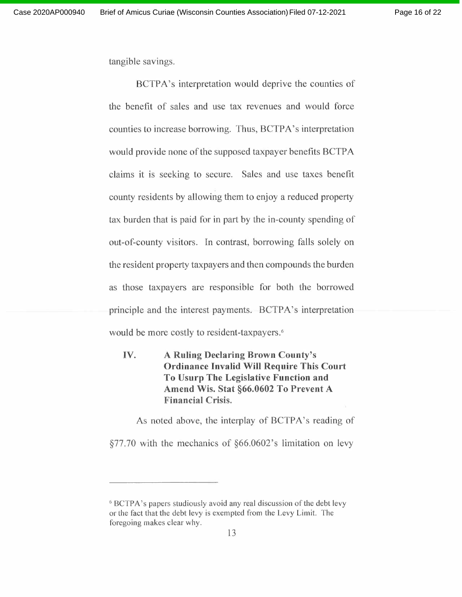tangible savings.

BCTPA's interpretation would deprive the counties of the benefit of sales and use tax revenues and would force counties to increase borrowing. Thus, BCTPA's interpretation would provide none of the supposed taxpayer benefits BCTPA claims it is seeking to secure. Sales and use taxes benefit county residents by allowing them to enjoy a reduced property tax burden that is paid for in part by the in-county spending of out-of-county visitors. In contrast, borrowing falls solely on the resident property taxpayers and then compounds the burden as those taxpayers are responsible for both the borrowed principle and the interest payments. BCTPA's interpretation would be more costly to resident-taxpayers. 6

**IV. A Ruling Declaring Brown County's Ordinance Invalid Will Require This Court To Usurp The Legislative Function and Amend Wis. Stat §66.0602 To Prevent A Financial Crisis.**

As noted above, the interplay of BCTPA's reading of §77.70 with the mechanics of §66.0602's limitation on levy

<sup>&</sup>lt;sup>6</sup> BCTPA's papers studiously avoid any real discussion of the debt levy or the fact that the debt levy is exempted from the Levy Limit. The foregoing makes clear why.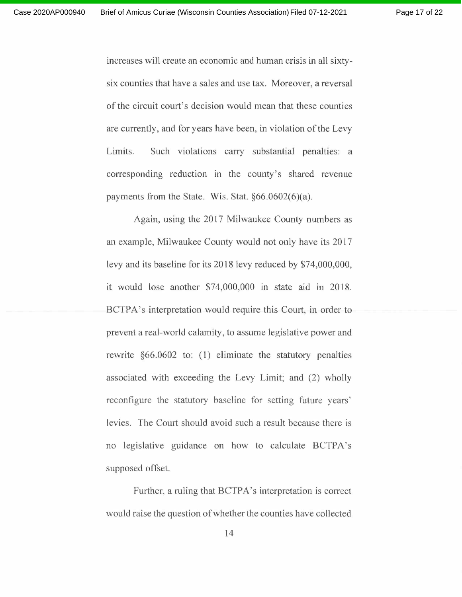increases will create an economic and human crisis in all sixtysix counties that have a sales and use tax. Moreover, a reversal of the circuit court's decision would mean that these counties are currently, and for years have been, in violation of the Levy Limits. Such violations carry substantial penalties: a corresponding reduction in the county's shared revenue payments from the State. Wis. Stat.  $§66.0602(6)(a)$ .

Again, using the 2017 Milwaukee County numbers as an example, Milwaukee County would not only have its 2017 levy and its baseline for its 2018 levy reduced by \$74,000,000, it would lose another \$74,000,000 in state aid in 2018. BCTPA's interpretation would require this Court, in order to prevent a real-world calamity, to assume legislative power and rewrite §66.0602 to: (1) eliminate the statutory penalties associated with exceeding the Levy Limit; and (2) wholly reconfigure the statutory baseline for setting future years' levies. The Court should avoid such a result because there is no legislative guidance on how to calculate BCTPA's supposed offset.

Further, a ruling that BCTPA's interpretation is correct would raise the question of whether the counties have collected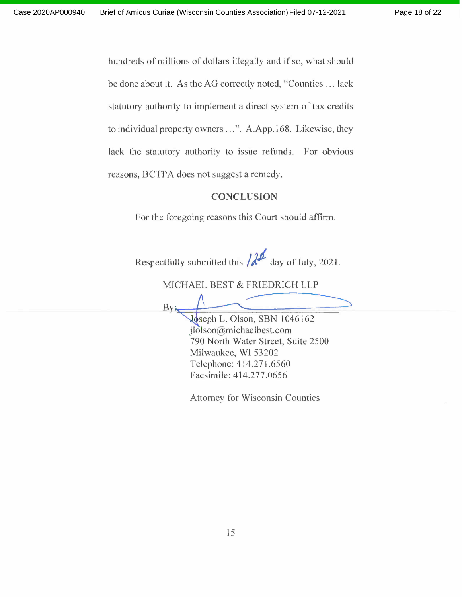**By** 

hundreds of millions of dollars illegally and if so, what should be done about it. As the AG correctly noted, "Counties ... lack statutory authority to implement a direct system of tax credits to individual property owners ...". A.App.168. Likewise, they lack the statutory authority to issue refunds. For obvious reasons, BCTPA does not suggest a remedy.

#### **CONCLUSION**

For the foregoing reasons this Court should affirm.

Respectfully submitted this  $/d<sup>2</sup>$  day of July, 2021.

MICHAEL BEST & FRIEDRICH LLP

Joseph L. Olson, SBN 1046162 jlolson@michaelbest.com 790 North Water Street, Suite 2500 Milwaukee, WI 53202 Telephone: 414.271.6560 Facsimile: 414.277 .0656

Attorney for Wisconsin Counties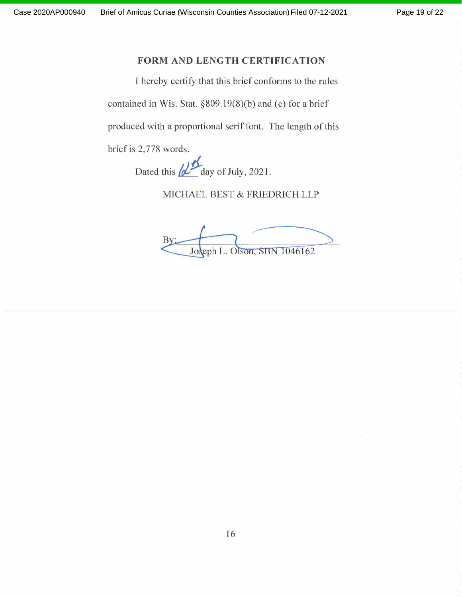#### **FORM AND LENGTH CERTIFICATION**

<sup>I</sup> hereby certify that this brief conforms to the rules contained in Wis. Stat. §809.19(8)(b) and (c) for a brief produced with a proportional serif font. The length of this brief is 2,778 words.

Dated this  $\omega$  day of July, 2021.

MICHAEL BEST & FRIEDRICH LLP

MICHAEL BEST & FRIEDRICH LLP<br>By: Joseph L. Olson, SBN 1046162 46162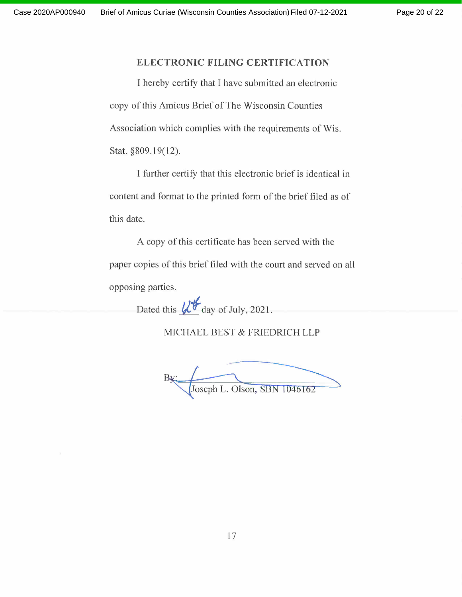#### **ELECTRONIC FILING CERTIFICATION**

<sup>I</sup> hereby certify that <sup>I</sup> have submitted an electronic copy of this Amicus Brief of The Wisconsin Counties Association which complies with the requirements of Wis. Stat. §809.19(12).

I further certify that this electronic brief is identical in content and format to the printed form of the brief filed as of this date.

A copy of this certificate has been served with the paper copies of this brief filed with the court and served on all opposing parties.

Dated this  $\mathcal{U}^*$  day of July, 2021.

MICHAEL BEST & FRIEDRICH LLP

**Foseph L. Ols** day of July, 2021.<br>
EL BEST & FRIEDRICH LLP<br>
seph L. Olson, SBN 1046162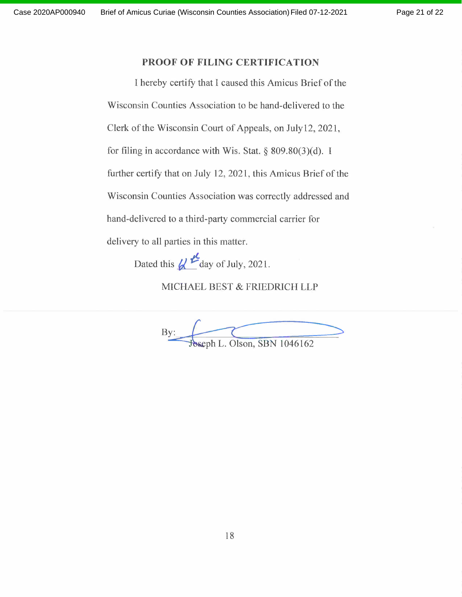#### **PROOF OF FILING CERTIFICATION**

<sup>I</sup> hereby certify that <sup>I</sup> caused this Amicus Brief ofthe Wisconsin Counties Association to be hand-delivered to the Clerk of the Wisconsin Court of Appeals, on July 12, 2021, for filing in accordance with Wis. Stat. § 809.80(3)(d). <sup>I</sup> further certify that on July 12, 2021, this Amicus Brief of the Wisconsin Counties Association was correctly addressed and hand-delivered to a third-party commercial carrier for delivery to all parties in this matter.

Dated this  $\mathcal{U}$ <sup>t</sup> day of July, 2021.

MICHAEL BEST & FRIEDRICH LLP

MICHAEL BEST & FRIEDRICH LLP<br>By: Soseph L. Olson, SBN 1046162